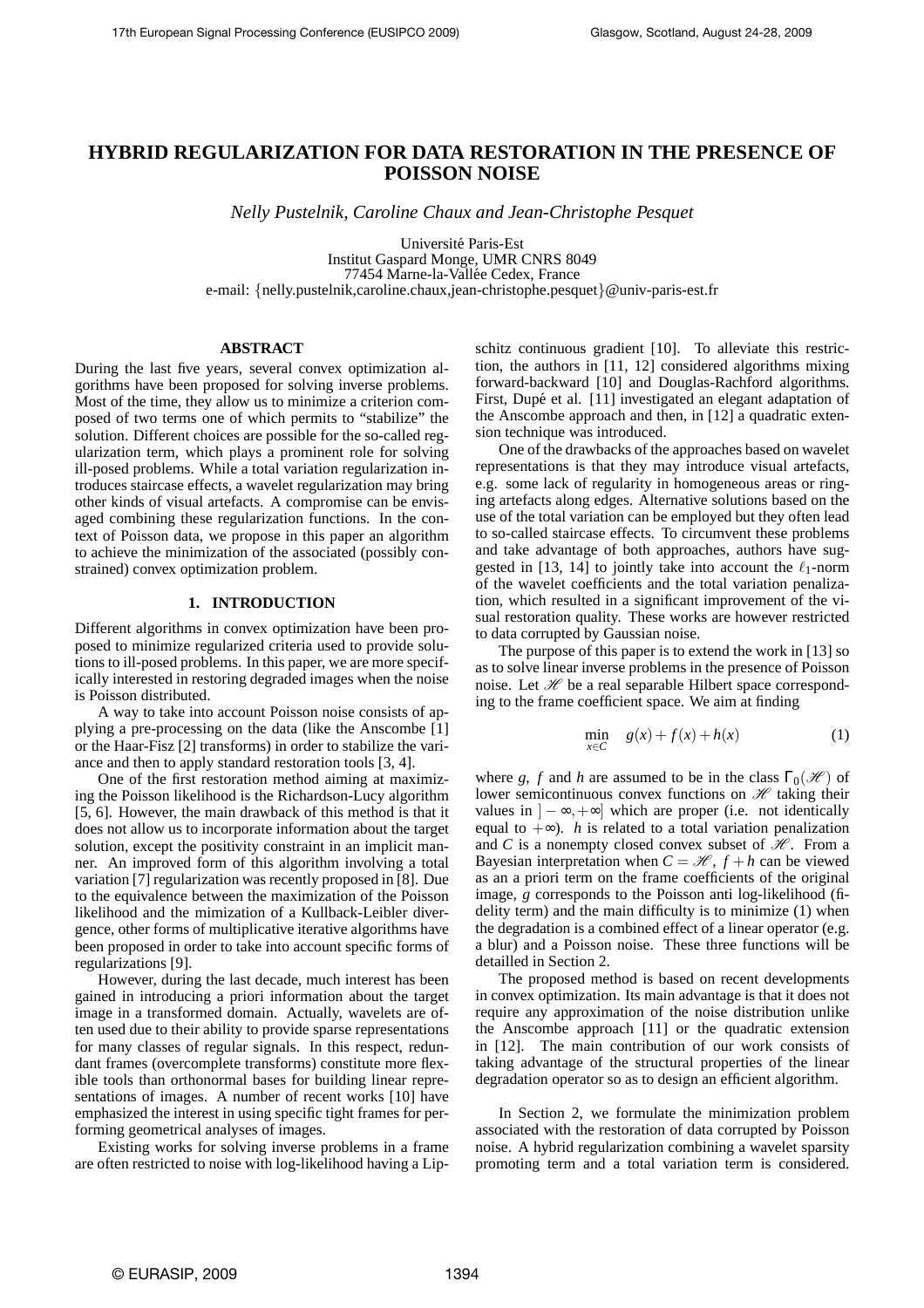# **HYBRID REGULARIZATION FOR DATA RESTORATION IN THE PRESENCE OF POISSON NOISE**

*Nelly Pustelnik, Caroline Chaux and Jean-Christophe Pesquet*

Universite Paris-Est ´ Institut Gaspard Monge, UMR CNRS 8049 77454 Marne-la-Vallée Cedex, France e-mail: {nelly.pustelnik,caroline.chaux,jean-christophe.pesquet}@univ-paris-est.fr

# **ABSTRACT**

During the last five years, several convex optimization algorithms have been proposed for solving inverse problems. Most of the time, they allow us to minimize a criterion composed of two terms one of which permits to "stabilize" the solution. Different choices are possible for the so-called regularization term, which plays a prominent role for solving ill-posed problems. While a total variation regularization introduces staircase effects, a wavelet regularization may bring other kinds of visual artefacts. A compromise can be envisaged combining these regularization functions. In the context of Poisson data, we propose in this paper an algorithm to achieve the minimization of the associated (possibly constrained) convex optimization problem.

# **1. INTRODUCTION**

Different algorithms in convex optimization have been proposed to minimize regularized criteria used to provide solutions to ill-posed problems. In this paper, we are more specifically interested in restoring degraded images when the noise is Poisson distributed.

A way to take into account Poisson noise consists of applying a pre-processing on the data (like the Anscombe [1] or the Haar-Fisz [2] transforms) in order to stabilize the variance and then to apply standard restoration tools [3, 4].

One of the first restoration method aiming at maximizing the Poisson likelihood is the Richardson-Lucy algorithm [5, 6]. However, the main drawback of this method is that it does not allow us to incorporate information about the target solution, except the positivity constraint in an implicit manner. An improved form of this algorithm involving a total variation [7] regularization was recently proposed in [8]. Due to the equivalence between the maximization of the Poisson likelihood and the mimization of a Kullback-Leibler divergence, other forms of multiplicative iterative algorithms have been proposed in order to take into account specific forms of regularizations [9].

However, during the last decade, much interest has been gained in introducing a priori information about the target image in a transformed domain. Actually, wavelets are often used due to their ability to provide sparse representations for many classes of regular signals. In this respect, redundant frames (overcomplete transforms) constitute more flexible tools than orthonormal bases for building linear representations of images. A number of recent works [10] have emphasized the interest in using specific tight frames for performing geometrical analyses of images.

Existing works for solving inverse problems in a frame are often restricted to noise with log-likelihood having a Lipschitz continuous gradient [10]. To alleviate this restriction, the authors in [11, 12] considered algorithms mixing forward-backward [10] and Douglas-Rachford algorithms. First, Dupé et al. [11] investigated an elegant adaptation of the Anscombe approach and then, in [12] a quadratic extension technique was introduced.

One of the drawbacks of the approaches based on wavelet representations is that they may introduce visual artefacts, e.g. some lack of regularity in homogeneous areas or ringing artefacts along edges. Alternative solutions based on the use of the total variation can be employed but they often lead to so-called staircase effects. To circumvent these problems and take advantage of both approaches, authors have suggested in [13, 14] to jointly take into account the  $\ell_1$ -norm of the wavelet coefficients and the total variation penalization, which resulted in a significant improvement of the visual restoration quality. These works are however restricted to data corrupted by Gaussian noise.

The purpose of this paper is to extend the work in [13] so as to solve linear inverse problems in the presence of Poisson noise. Let  $\mathcal H$  be a real separable Hilbert space corresponding to the frame coefficient space. We aim at finding

$$
\min_{x \in C} \quad g(x) + f(x) + h(x) \tag{1}
$$

where *g*, *f* and *h* are assumed to be in the class  $\Gamma_0(\mathcal{H})$  of lower semicontinuous convex functions on  $\mathcal H$  taking their values in  $]-\infty,+\infty]$  which are proper (i.e. not identically equal to  $+\infty$ ). *h* is related to a total variation penalization and *C* is a nonempty closed convex subset of  $\mathcal{H}$ . From a Bayesian interpretation when  $C = \mathcal{H}$ ,  $f + h$  can be viewed as an a priori term on the frame coefficients of the original image, *g* corresponds to the Poisson anti log-likelihood (fidelity term) and the main difficulty is to minimize (1) when the degradation is a combined effect of a linear operator (e.g. a blur) and a Poisson noise. These three functions will be detailled in Section 2.

The proposed method is based on recent developments in convex optimization. Its main advantage is that it does not require any approximation of the noise distribution unlike the Anscombe approach [11] or the quadratic extension in [12]. The main contribution of our work consists of taking advantage of the structural properties of the linear degradation operator so as to design an efficient algorithm.

In Section 2, we formulate the minimization problem associated with the restoration of data corrupted by Poisson noise. A hybrid regularization combining a wavelet sparsity promoting term and a total variation term is considered.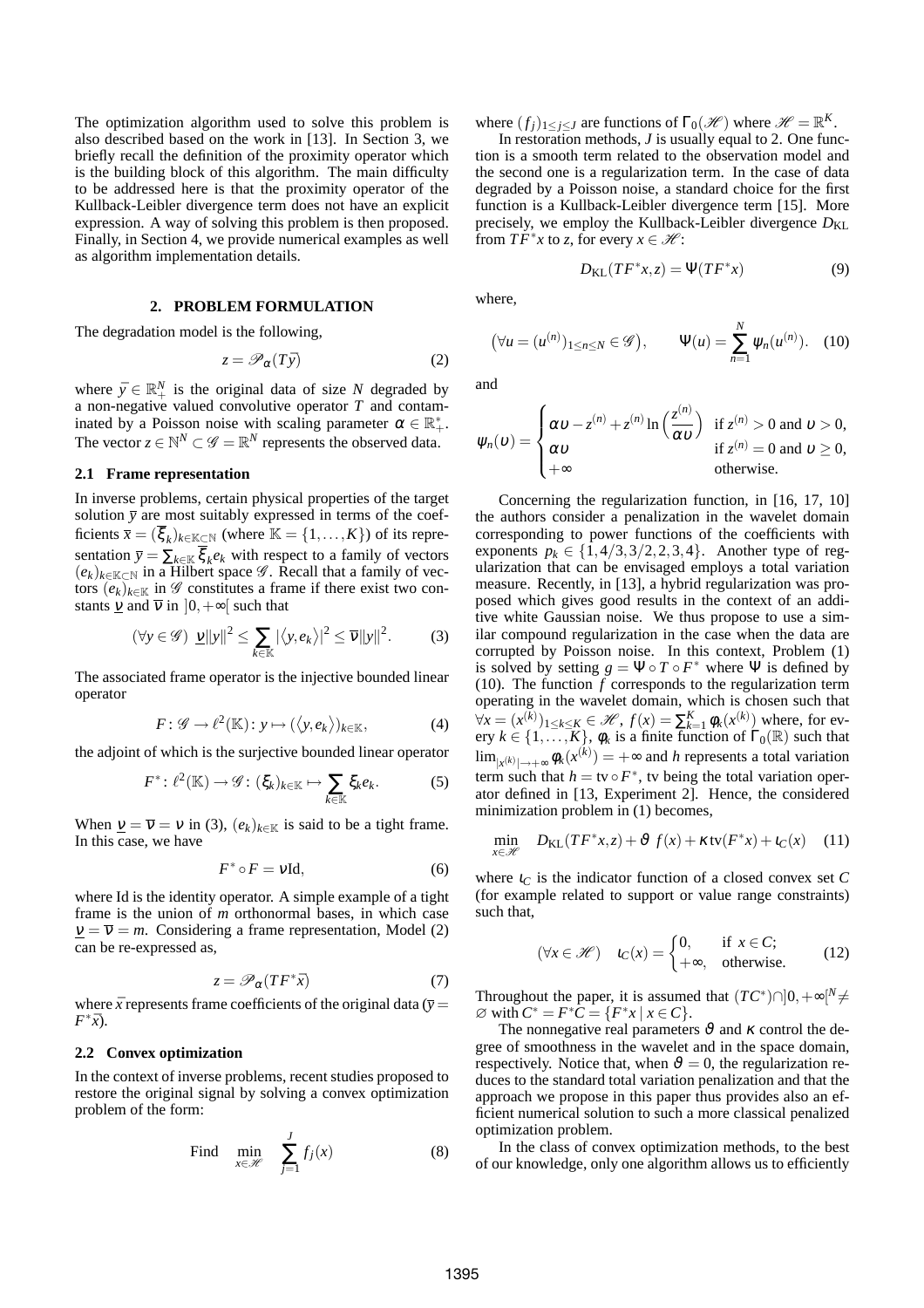The optimization algorithm used to solve this problem is also described based on the work in [13]. In Section 3, we briefly recall the definition of the proximity operator which is the building block of this algorithm. The main difficulty to be addressed here is that the proximity operator of the Kullback-Leibler divergence term does not have an explicit expression. A way of solving this problem is then proposed. Finally, in Section 4, we provide numerical examples as well as algorithm implementation details.

#### **2. PROBLEM FORMULATION**

The degradation model is the following,

$$
z = \mathscr{P}_{\alpha}(T\bar{y})
$$
 (2)

where  $\bar{y} \in \mathbb{R}_+^N$  is the original data of size *N* degraded by a non-negative valued convolutive operator *T* and contaminated by a Poisson noise with scaling parameter  $\alpha \in \mathbb{R}_+^*$ . The vector  $z \in \mathbb{N}^N \subset \mathscr{G} = \mathbb{R}^N$  represents the observed data.

#### **2.1 Frame representation**

In inverse problems, certain physical properties of the target solution  $\bar{y}$  are most suitably expressed in terms of the coefficients  $\bar{x} = (\bar{\xi}_k)_{k \in \mathbb{K} \subset \mathbb{N}}$  (where  $\mathbb{K} = \{1, \ldots, K\}$ ) of its representation  $\bar{y} = \sum_{k \in \mathbb{K}} \xi_k e_k$  with respect to a family of vectors  $(e_k)_{k \in \mathbb{K} \subset \mathbb{N}}$  in a Hilbert space  $\mathscr{G}$ . Recall that a family of vectors  $(e_k)_{k \in \mathbb{K}}$  in  $\mathscr G$  constitutes a frame if there exist two constants  $\nu$  and  $\overline{\nu}$  in  $]0,+\infty[$  such that

$$
(\forall y \in \mathscr{G}) \underline{\nu} ||y||^2 \le \sum_{k \in \mathbb{K}} |\langle y, e_k \rangle|^2 \le \overline{\nu} ||y||^2. \tag{3}
$$

The associated frame operator is the injective bounded linear operator

$$
F: \mathscr{G} \to \ell^2(\mathbb{K}): y \mapsto (\langle y, e_k \rangle)_{k \in \mathbb{K}}, \tag{4}
$$

the adjoint of which is the surjective bounded linear operator

$$
F^* \colon \ell^2(\mathbb{K}) \to \mathscr{G} \colon (\xi_k)_{k \in \mathbb{K}} \mapsto \sum_{k \in \mathbb{K}} \xi_k e_k. \tag{5}
$$

When  $\underline{v} = \overline{v} = v$  in (3),  $(e_k)_{k \in \mathbb{K}}$  is said to be a tight frame. In this case, we have

$$
F^* \circ F = \nu \mathrm{Id},\tag{6}
$$

where Id is the identity operator. A simple example of a tight frame is the union of *m* orthonormal bases, in which case  $v = \overline{v} = m$ . Considering a frame representation, Model (2) can be re-expressed as,

$$
z = \mathscr{P}_{\alpha}(TF^*\bar{x})\tag{7}
$$

where  $\bar{x}$  represents frame coefficients of the original data ( $\bar{y}$  =  $F^*\bar{x}$ ).

### **2.2 Convex optimization**

In the context of inverse problems, recent studies proposed to restore the original signal by solving a convex optimization problem of the form:

Find 
$$
\min_{x \in \mathcal{H}} \sum_{j=1}^{J} f_j(x)
$$
 (8)

where  $(f_j)_{1 \leq j \leq J}$  are functions of  $\Gamma_0(\mathcal{H})$  where  $\mathcal{H} = \mathbb{R}^K$ .

In restoration methods, *J* is usually equal to 2. One function is a smooth term related to the observation model and the second one is a regularization term. In the case of data degraded by a Poisson noise, a standard choice for the first function is a Kullback-Leibler divergence term [15]. More precisely, we employ the Kullback-Leibler divergence  $D_{\text{KL}}$ from  $TF^*x$  to *z*, for every  $x \in \mathcal{H}$ :

$$
D_{\text{KL}}(TF^*x, z) = \Psi(TF^*x) \tag{9}
$$

where,

$$
(\forall u = (u^{(n)})_{1 \le n \le N} \in \mathscr{G}), \qquad \Psi(u) = \sum_{n=1}^{N} \psi_n(u^{(n)}). \quad (10)
$$

and

$$
\psi_n(\upsilon) = \begin{cases}\n\alpha \upsilon - z^{(n)} + z^{(n)} \ln\left(\frac{z^{(n)}}{\alpha \upsilon}\right) & \text{if } z^{(n)} > 0 \text{ and } \upsilon > 0, \\
\alpha \upsilon & \text{if } z^{(n)} = 0 \text{ and } \upsilon \ge 0, \\
+\infty & \text{otherwise.} \n\end{cases}
$$

Concerning the regularization function, in [16, 17, 10] the authors consider a penalization in the wavelet domain corresponding to power functions of the coefficients with exponents  $p_k \in \{1, 4/3, 3/2, 2, 3, 4\}$ . Another type of regularization that can be envisaged employs a total variation measure. Recently, in [13], a hybrid regularization was proposed which gives good results in the context of an additive white Gaussian noise. We thus propose to use a similar compound regularization in the case when the data are corrupted by Poisson noise. In this context, Problem (1) is solved by setting  $g = \Psi \circ T \circ F^*$  where  $\Psi$  is defined by (10). The function  $f$  corresponds to the regularization term operating in the wavelet domain, which is chosen such that  $∀x = (x^{(k)})_{1 \le k \le K}$ ∈  $\mathcal{H}$ ,  $f(x) = \sum_{k=1}^{K} \phi_k(x^{(k)})$  where, for every  $k \in \{1, \ldots, K\}$ ,  $\phi_k$  is a finite function of  $\Gamma_0(\mathbb{R})$  such that  $\lim_{|x^{(k)}| \to +\infty} \phi_k(x^{(k)}) = +\infty$  and *h* represents a total variation term such that  $h =$  tv  $\circ$   $F^*$ , tv being the total variation operator defined in [13, Experiment 2]. Hence, the considered minimization problem in (1) becomes,

$$
\min_{x \in \mathcal{H}} D_{\text{KL}}(TF^*x, z) + \vartheta f(x) + \kappa \operatorname{tv}(F^*x) + \iota_C(x) \quad (11)
$$

where  $i_C$  is the indicator function of a closed convex set  $C$ (for example related to support or value range constraints) such that,

$$
(\forall x \in \mathcal{H}) \quad \iota_C(x) = \begin{cases} 0, & \text{if } x \in C; \\ +\infty, & \text{otherwise.} \end{cases} \tag{12}
$$

Throughout the paper, it is assumed that  $(TC^*) \cap ]0, +\infty[^N \neq 0]$  $\emptyset$  with  $C^* = F^*C = \{F^*x \mid x \in C\}.$ 

The nonnegative real parameters  $\vartheta$  and  $\kappa$  control the degree of smoothness in the wavelet and in the space domain, respectively. Notice that, when  $\vartheta = 0$ , the regularization reduces to the standard total variation penalization and that the approach we propose in this paper thus provides also an efficient numerical solution to such a more classical penalized optimization problem.

In the class of convex optimization methods, to the best of our knowledge, only one algorithm allows us to efficiently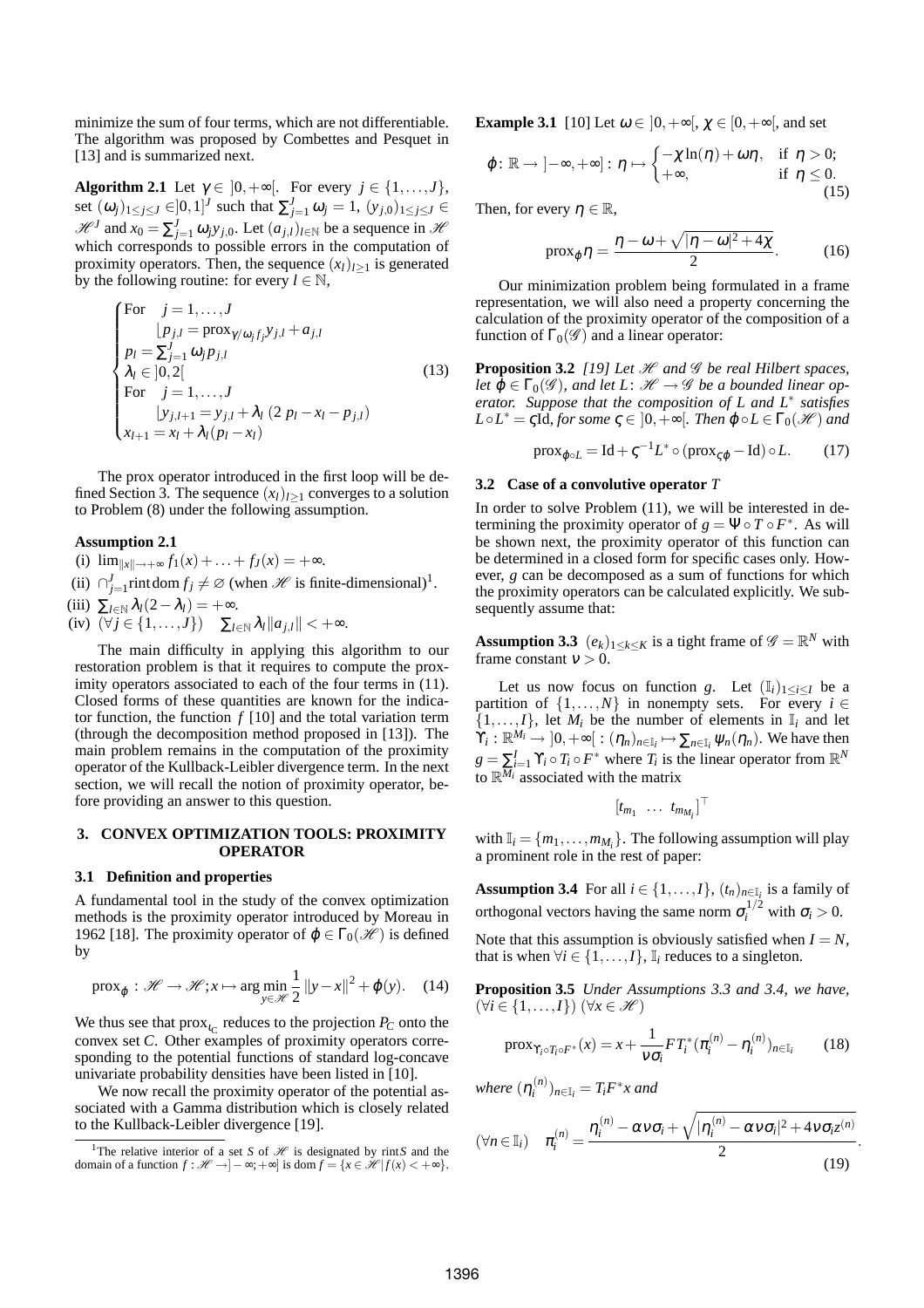minimize the sum of four terms, which are not differentiable. The algorithm was proposed by Combettes and Pesquet in [13] and is summarized next.

**Algorithm 2.1** Let  $\gamma \in [0, +\infty[$ . For every  $j \in \{1, ..., J\}$ , set  $(\omega_j)_{1 \leq j \leq J} \in ]0,1]^J$  such that  $\sum_{j=1}^J \omega_j = 1$ ,  $(y_{j,0})_{1 \leq j \leq J} \in$  $\mathcal{H}^J$  and  $x_0 = \sum_{j=1}^J \omega_j y_{j,0}$ . Let  $(a_{j,l})_{l \in \mathbb{N}}$  be a sequence in  $\mathcal{H}$ which corresponds to possible errors in the computation of proximity operators. Then, the sequence  $(x_l)_{l>1}$  is generated by the following routine: for every  $l \in \mathbb{N}$ ,

For 
$$
j = 1,...,J
$$
  
\n
$$
[p_{j,l} = \text{prox}_{\gamma/\omega_j f_j} y_{j,l} + a_{j,l}
$$
\n
$$
p_l = \sum_{j=1}^{J} \omega_j p_{j,l}
$$
\n
$$
\lambda_l \in ]0,2[
$$
\nFor  $j = 1,...,J$   
\n
$$
y_{j,l+1} = y_{j,l} + \lambda_l (2 p_l - x_l - p_{j,l})
$$
\n
$$
x_{l+1} = x_l + \lambda_l (p_l - x_l)
$$
\n(13)

The prox operator introduced in the first loop will be defined Section 3. The sequence  $(x_l)_{l>1}$  converges to a solution to Problem (8) under the following assumption.

# **Assumption 2.1**

- (i)  $\lim_{\|x\| \to +\infty} f_1(x) + \ldots + f_J(x) = +\infty.$
- (ii)  $\bigcap_{j=1}^{J}$  rintdom  $f_j \neq \emptyset$  (when  $\mathcal{H}$  is finite-dimensional)<sup>1</sup>.

$$
(iii) \ \Sigma_{l \in \mathbb{N}} \lambda_l (2 - \lambda_l) = +\infty.
$$

 $(iv) \ (\forall j \in \{1,\ldots,J\}) \quad \sum_{l \in \mathbb{N}} \lambda_l ||a_{j,l}|| < +\infty.$ 

The main difficulty in applying this algorithm to our restoration problem is that it requires to compute the proximity operators associated to each of the four terms in  $(11)$ . Closed forms of these quantities are known for the indicator function, the function  $f$  [10] and the total variation term (through the decomposition method proposed in [13]). The main problem remains in the computation of the proximity operator of the Kullback-Leibler divergence term. In the next section, we will recall the notion of proximity operator, before providing an answer to this question.

### **3. CONVEX OPTIMIZATION TOOLS: PROXIMITY OPERATOR**

## **3.1 Definition and properties**

A fundamental tool in the study of the convex optimization methods is the proximity operator introduced by Moreau in 1962 [18]. The proximity operator of  $\varphi \in \Gamma_0(\mathcal{H})$  is defined by

$$
\text{prox}_{\varphi}: \mathcal{H} \to \mathcal{H}; x \mapsto \arg\min_{y \in \mathcal{H}} \frac{1}{2} ||y - x||^2 + \varphi(y). \quad (14)
$$

We thus see that  $prox_{i_C}$  reduces to the projection  $P_C$  onto the convex set *C*. Other examples of proximity operators corresponding to the potential functions of standard log-concave univariate probability densities have been listed in [10].

We now recall the proximity operator of the potential associated with a Gamma distribution which is closely related to the Kullback-Leibler divergence [19].

**Example 3.1** [10] Let  $\omega \in [0, +\infty]$ ,  $\chi \in [0, +\infty]$ , and set

$$
\varphi \colon \mathbb{R} \to ]-\infty, +\infty] : \eta \mapsto \begin{cases} -\chi \ln(\eta) + \omega \eta, & \text{if } \eta > 0; \\ +\infty, & \text{if } \eta \leq 0. \end{cases}
$$

Then, for every  $\eta \in \mathbb{R}$ ,

$$
\text{prox}_{\varphi} \eta = \frac{\eta - \omega + \sqrt{|\eta - \omega|^2 + 4\chi}}{2}.
$$
 (16)

Our minimization problem being formulated in a frame representation, we will also need a property concerning the calculation of the proximity operator of the composition of a function of  $\Gamma_0(\mathscr{G})$  and a linear operator:

**Proposition 3.2** *[19] Let*  $\mathcal H$  *and*  $\mathcal G$  *be real Hilbert spaces,* let  $\phi \in \Gamma_0(\mathscr{G})$ , and let L:  $\mathscr{H} \to \mathscr{G}$  be a bounded linear op*erator. Suppose that the composition of L and L*<sup>∗</sup> *satisfies*  $L \circ L^* = \varsigma \overline{\mathrm{Id}}$ *, for some*  $\varsigma \in ]0, +\infty[$ *. Then*  $\varphi \circ L \in \Gamma_0(\mathscr{H})$  *and* 

$$
\text{prox}_{\varphi \circ L} = \text{Id} + \zeta^{-1} L^* \circ (\text{prox}_{\zeta \varphi} - \text{Id}) \circ L. \tag{17}
$$

# **3.2 Case of a convolutive operator** *T*

In order to solve Problem (11), we will be interested in determining the proximity operator of  $g = \Psi \circ T \circ F^*$ . As will be shown next, the proximity operator of this function can be determined in a closed form for specific cases only. However, *g* can be decomposed as a sum of functions for which the proximity operators can be calculated explicitly. We subsequently assume that:

**Assumption 3.3**  $(e_k)_{1 \leq k \leq K}$  is a tight frame of  $\mathscr{G} = \mathbb{R}^N$  with frame constant  $v > 0$ .

Let us now focus on function *g*. Let  $(I_i)_{1 \leq i \leq I}$  be a partition of  $\{1,\ldots,N\}$  in nonempty sets. For every  $i \in$  $\{1,\ldots,I\}$ , let  $M_i$  be the number of elements in  $\mathbb{I}_i$  and let  $\hat{Y}_i : \mathbb{R}^{M_i} \to ]0, +\infty[ : (\eta_n)_{n \in \mathbb{I}_i} \mapsto \sum_{n \in \mathbb{I}_i} \psi_n(\eta_n)$ . We have then  $g = \sum_{i=1}^{I} \Upsilon_i \circ T_i \circ F^*$  where  $T_i$  is the linear operator from  $\mathbb{R}^N$ to  $\mathbb{R}^{M_i}$  associated with the matrix

$$
[t_{m_1} \ldots t_{m_{M_i}}]^\top
$$

with  $\mathbb{I}_i = \{m_1, \ldots, m_{M_i}\}$ . The following assumption will play a prominent role in the rest of paper:

**Assumption 3.4** For all  $i \in \{1, ..., I\}$ ,  $(t_n)_{n \in \mathbb{I}_i}$  is a family of orthogonal vectors having the same norm  $\sigma_i^{1/2}$  with  $\sigma_i > 0$ .

Note that this assumption is obviously satisfied when  $I = N$ , that is when  $\forall i \in \{1, \ldots, I\}$ ,  $\mathbb{I}_i$  reduces to a singleton.

**Proposition 3.5** *Under Assumptions 3.3 and 3.4, we have,*  $(\forall i \in \{1,\ldots,I\})$   $(\forall x \in \mathcal{H})$ 

$$
\text{prox}_{\Upsilon_i \circ T_i \circ F^*}(x) = x + \frac{1}{\nu \sigma_i} F T_i^* (\pi_i^{(n)} - \eta_i^{(n)})_{n \in \mathbb{I}_i} \tag{18}
$$

where  $(\eta_i^{(n)}$  $T_i^{(n)}$ <sub>*n*∈I<sub>*i*</sub></sub> =  $T_iF^*x$  and

$$
(\forall n \in \mathbb{I}_i) \quad \pi_i^{(n)} = \frac{\eta_i^{(n)} - \alpha \nu \sigma_i + \sqrt{|\eta_i^{(n)} - \alpha \nu \sigma_i|^2 + 4 \nu \sigma_i z^{(n)}}}{2}
$$
\n(19)

.

<sup>&</sup>lt;sup>1</sup>The relative interior of a set *S* of *H* is designated by rint *S* and the domain of a function  $f : \mathcal{H} \to ]-\infty; +\infty]$  is dom  $f = \{x \in \mathcal{H} | f(x) < +\infty\}.$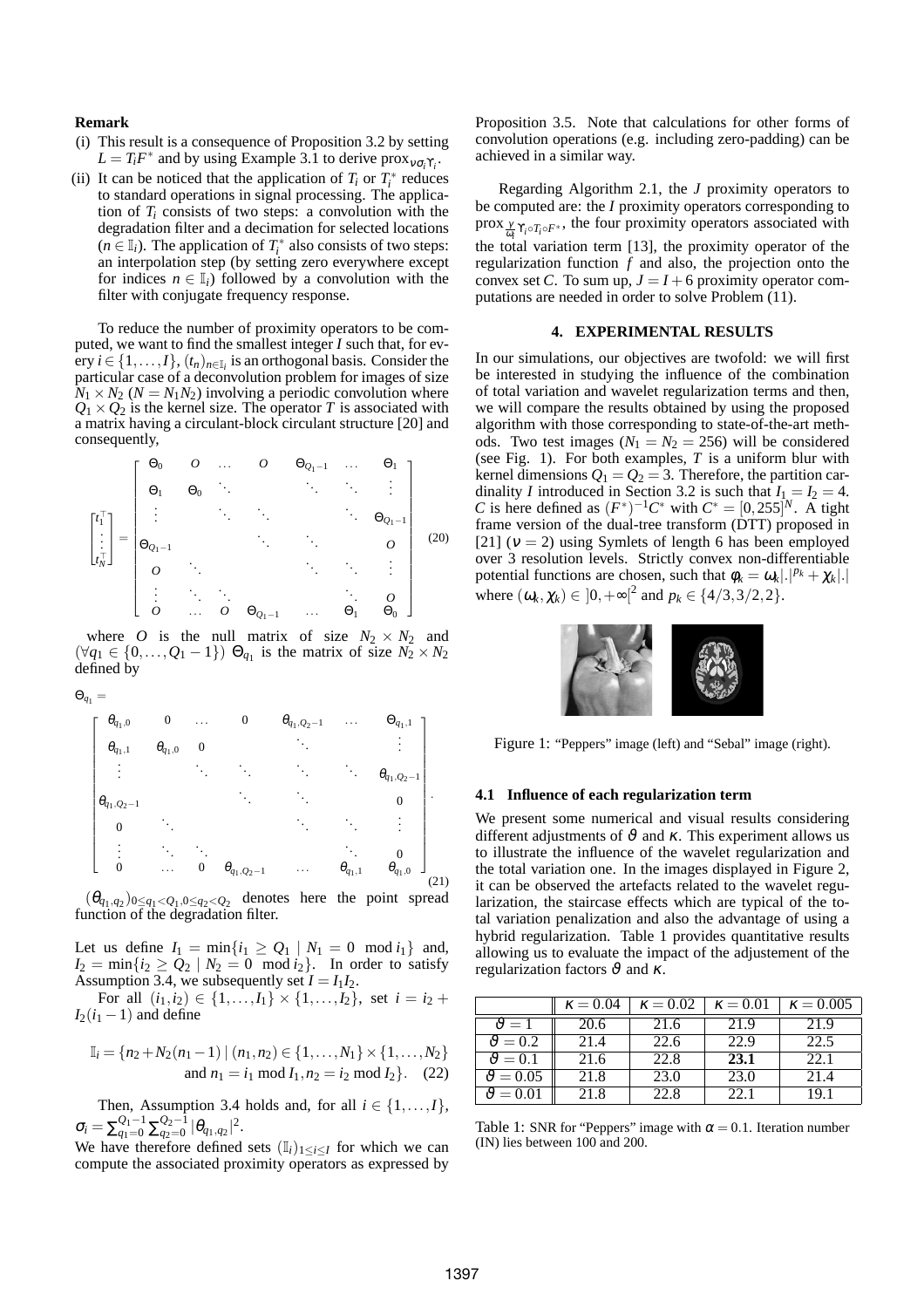# **Remark**

- (i) This result is a consequence of Proposition 3.2 by setting  $L = T_i F^*$  and by using Example 3.1 to derive prox<sub> $v_{\sigma_i} \gamma_i$ </sub>.
- (ii) It can be noticed that the application of  $T_i$  or  $T_i^*$  reduces to standard operations in signal processing. The application of  $T_i$  consists of two steps: a convolution with the degradation filter and a decimation for selected locations  $(n \in I_i)$ . The application of  $T_i^*$  also consists of two steps: an interpolation step (by setting zero everywhere except for indices  $n \in I_i$ ) followed by a convolution with the filter with conjugate frequency response.

To reduce the number of proximity operators to be computed, we want to find the smallest integer *I* such that, for every  $i \in \{1, ..., I\}$ ,  $(t_n)_{n \in I_i}$  is an orthogonal basis. Consider the particular case of a deconvolution problem for images of size  $N_1 \times N_2$  ( $N = N_1 N_2$ ) involving a periodic convolution where  $Q_1 \times Q_2$  is the kernel size. The operator *T* is associated with a matrix having a circulant-block circulant structure [20] and consequently,

$$
\begin{bmatrix} t_1^{\top} \\ \vdots \\ t_N^{\top} \end{bmatrix} = \begin{bmatrix} \Theta_0 & O & \dots & O & \Theta_{Q_1-1} & \dots & \Theta_1 \\ \Theta_1 & \Theta_0 & \ddots & & \ddots & \ddots & \vdots \\ \vdots & & & & \ddots & \ddots & \vdots \\ \Theta_{Q_1-1} & & & & & \ddots & \Theta_{Q_1-1} \\ O & \ddots & & & & & \ddots & \vdots \\ O & \dots & O & \Theta_{Q_1-1} & \dots & \Theta_1 & \Theta_0 \end{bmatrix}
$$
 (20)

where *O* is the null matrix of size  $N_2 \times N_2$  and  $(\forall q_1 \in \{0, \ldots, Q_1 - 1\}) \Theta_{q_1}$  is the matrix of size  $N_2 \times N_2$ defined by

$$
\Theta_{q_1} =
$$



 $(\theta_{q_1,q_2})_{0 \leq q_1 < Q_1, 0 \leq q_2 < Q_2}$  denotes here the point spread function of the degradation filter.

Let us define  $I_1 = \min\{i_1 \geq Q_1 | N_1 = 0 \mod i_1\}$  and,  $I_2 = \min\{i_2 \geq Q_2 \mid N_2 = 0 \mod i_2\}$ . In order to satisfy Assumption 3.4, we subsequently set  $I = I_1 I_2$ .

For all  $(i_1, i_2) \in \{1, \ldots, I_1\} \times \{1, \ldots, I_2\}$ , set  $i = i_2 +$  $I_2(i_1 - 1)$  and define

$$
\mathbb{I}_i = \{n_2 + N_2(n_1 - 1) | (n_1, n_2) \in \{1, ..., N_1\} \times \{1, ..., N_2\}
$$
  
and  $n_1 = i_1 \mod I_1, n_2 = i_2 \mod I_2\}$ . (22)

Then, Assumption 3.4 holds and, for all  $i \in \{1, ..., I\}$ ,  $\sigma_i = \sum_{q_1=0}^{Q_1-1} \sum_{q_2=0}^{Q_2-1} |\theta_{q_1,q_2}|^2.$ 

We have therefore defined sets  $(I_i)_{1 \leq i \leq I}$  for which we can compute the associated proximity operators as expressed by

Proposition 3.5. Note that calculations for other forms of convolution operations (e.g. including zero-padding) can be achieved in a similar way.

Regarding Algorithm 2.1, the *J* proximity operators to be computed are: the *I* proximity operators corresponding to prox  $\frac{\gamma}{\omega}$   $\gamma_i \circ T_i \circ F^*$ , the four proximity operators associated with the total variation term [13], the proximity operator of the regularization function *f* and also, the projection onto the convex set *C*. To sum up,  $J = I + 6$  proximity operator computations are needed in order to solve Problem (11).

# **4. EXPERIMENTAL RESULTS**

In our simulations, our objectives are twofold: we will first be interested in studying the influence of the combination of total variation and wavelet regularization terms and then, we will compare the results obtained by using the proposed algorithm with those corresponding to state-of-the-art methods. Two test images  $(N_1 = N_2 = 256)$  will be considered (see Fig. 1). For both examples, *T* is a uniform blur with kernel dimensions  $Q_1 = Q_2 = 3$ . Therefore, the partition cardinality *I* introduced in Section 3.2 is such that  $I_1 = I_2 = 4$ . *C* is here defined as  $(F^*)^{-1}C^*$  with  $C^* = [0, 255]^N$ . A tight frame version of the dual-tree transform (DTT) proposed in [21] ( $v = 2$ ) using Symlets of length 6 has been employed over 3 resolution levels. Strictly convex non-differentiable potential functions are chosen, such that  $\phi_k = \omega_k |.|^{p_k} + \chi_k|$ . where  $(\omega_k, \chi_k) \in ]0, +\infty[^2$  and  $p_k \in \{4/3, 3/2, 2\}.$ 



Figure 1: "Peppers" image (left) and "Sebal" image (right).

#### **4.1 Influence of each regularization term**

We present some numerical and visual results considering different adjustments of  $\vartheta$  and  $\kappa$ . This experiment allows us to illustrate the influence of the wavelet regularization and the total variation one. In the images displayed in Figure 2, it can be observed the artefacts related to the wavelet regularization, the staircase effects which are typical of the total variation penalization and also the advantage of using a hybrid regularization. Table 1 provides quantitative results allowing us to evaluate the impact of the adjustement of the regularization factors  $\vartheta$  and  $\kappa$ .

|                    | $\kappa = 0.04$ | $\kappa = 0.02$ | $\kappa = 0.01$ | $\kappa = 0.005$ |
|--------------------|-----------------|-----------------|-----------------|------------------|
| $\vartheta = 1$    | 20.6            | 21.6            | 21.9            | 21.9             |
| $\vartheta = 0.2$  | 21.4            | 22.6            | 22.9            | 22.5             |
| $\vartheta = 0.1$  | 21.6            | 22.8            | 23.1            | 22. I            |
| $\vartheta = 0.05$ | 21.8            | 23.0            | 23.0            | 21.4             |
|                    | 21.8            | 22.8            | 22.             | 19.1             |

Table 1: SNR for "Peppers" image with  $\alpha = 0.1$ . Iteration number (IN) lies between 100 and 200.